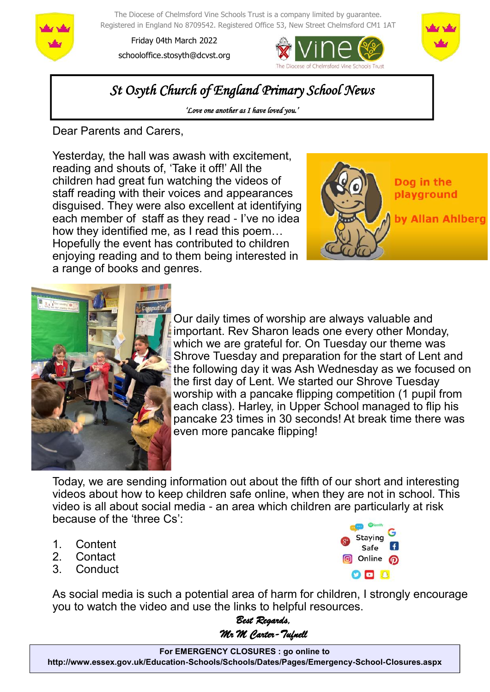

The Diocese of Chelmsford Vine Schools Trust is a company limited by guarantee. Registered in England No 8709542. Registered Office 53, New Street Chelmsford CM1 1AT

Friday 04th March 2022 schooloffice.stosyth@dcvst.org





*St Osyth Church of England Primary School News* 

*'Love one another as I have loved you.'* 

Dear Parents and Carers,

Yesterday, the hall was awash with excitement, reading and shouts of, 'Take it off!' All the children had great fun watching the videos of staff reading with their voices and appearances disguised. They were also excellent at identifying each member of staff as they read - I've no idea how they identified me, as I read this poem… Hopefully the event has contributed to children enjoying reading and to them being interested in a range of books and genres.





Our daily times of worship are always valuable and important. Rev Sharon leads one every other Monday, which we are grateful for. On Tuesday our theme was Shrove Tuesday and preparation for the start of Lent and the following day it was Ash Wednesday as we focused on the first day of Lent. We started our Shrove Tuesday worship with a pancake flipping competition (1 pupil from each class). Harley, in Upper School managed to flip his pancake 23 times in 30 seconds! At break time there was even more pancake flipping!

Today, we are sending information out about the fifth of our short and interesting videos about how to keep children safe online, when they are not in school. This video is all about social media - an area which children are particularly at risk because of the 'three Cs':

- 1. Content
- 2. Contact
- 3. Conduct



As social media is such a potential area of harm for children, I strongly encourage you to watch the video and use the links to helpful resources.

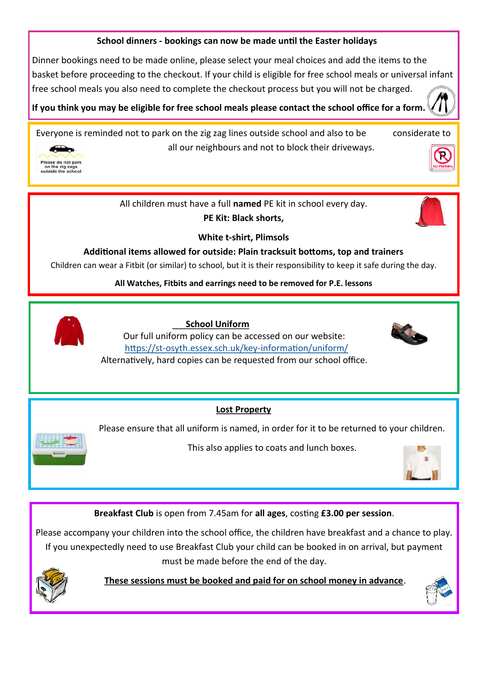### **School dinners - bookings can now be made until the Easter holidays**

Dinner bookings need to be made online, please select your meal choices and add the items to the basket before proceeding to the checkout. If your child is eligible for free school meals or universal infant free school meals you also need to complete the checkout process but you will not be charged.

**If you think you may be eligible for free school meals please contact the school office for a form.** 

Everyone is reminded not to park on the zig zag lines outside school and also to be considerate to all our neighbours and not to block their driveways.



All children must have a full **named** PE kit in school every day. **PE Kit: Black shorts,** 



**White t-shirt, Plimsols**

**Additional items allowed for outside: Plain tracksuit bottoms, top and trainers**

Children can wear a Fitbit (or similar) to school, but it is their responsibility to keep it safe during the day.

**All Watches, Fitbits and earrings need to be removed for P.E. lessons**



 **School Uniform**

Our full uniform policy can be accessed on our website: https://st-[osyth.essex.sch.uk/key](https://st-osyth.essex.sch.uk/key-information/uniform/)-information/uniform/



Alternatively, hard copies can be requested from our school office.

## **Lost Property**

Please ensure that all uniform is named, in order for it to be returned to your children.

This also applies to coats and lunch boxes.



**Breakfast Club** is open from 7.45am for **all ages**, costing **£3.00 per session**.

Please accompany your children into the school office, the children have breakfast and a chance to play. If you unexpectedly need to use Breakfast Club your child can be booked in on arrival, but payment must be made before the end of the day.



 **These sessions must be booked and paid for on school money in advance**.